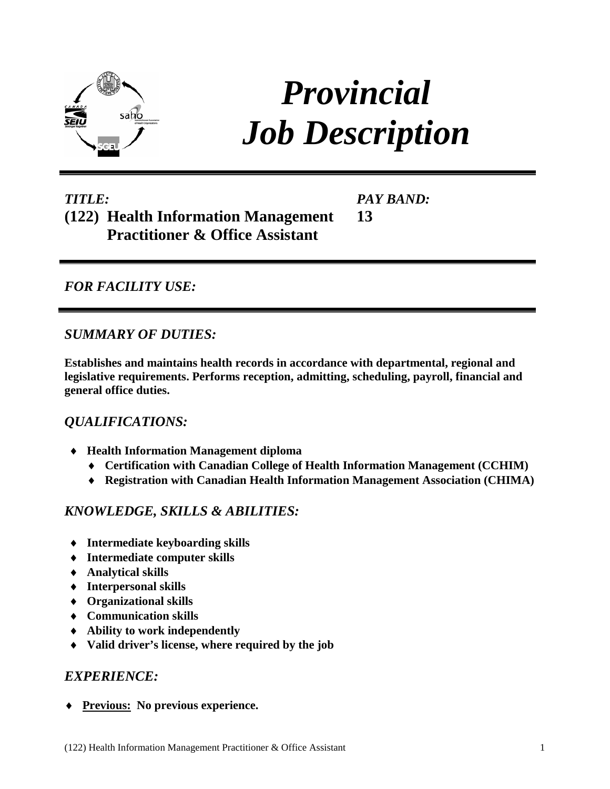

# *Provincial Job Description*

#### *TITLE:* **(122) Health Information Management Practitioner & Office Assistant 13**

*PAY BAND:*

## *FOR FACILITY USE:*

### *SUMMARY OF DUTIES:*

**Establishes and maintains health records in accordance with departmental, regional and legislative requirements. Performs reception, admitting, scheduling, payroll, financial and general office duties.** 

## *QUALIFICATIONS:*

- ♦ **Health Information Management diploma** 
	- ♦ **Certification with Canadian College of Health Information Management (CCHIM)**
	- ♦ **Registration with Canadian Health Information Management Association (CHIMA)**

## *KNOWLEDGE, SKILLS & ABILITIES:*

- ♦ **Intermediate keyboarding skills**
- ♦ **Intermediate computer skills**
- ♦ **Analytical skills**
- ♦ **Interpersonal skills**
- ♦ **Organizational skills**
- ♦ **Communication skills**
- ♦ **Ability to work independently**
- ♦ **Valid driver's license, where required by the job**

## *EXPERIENCE:*

♦ **Previous: No previous experience.**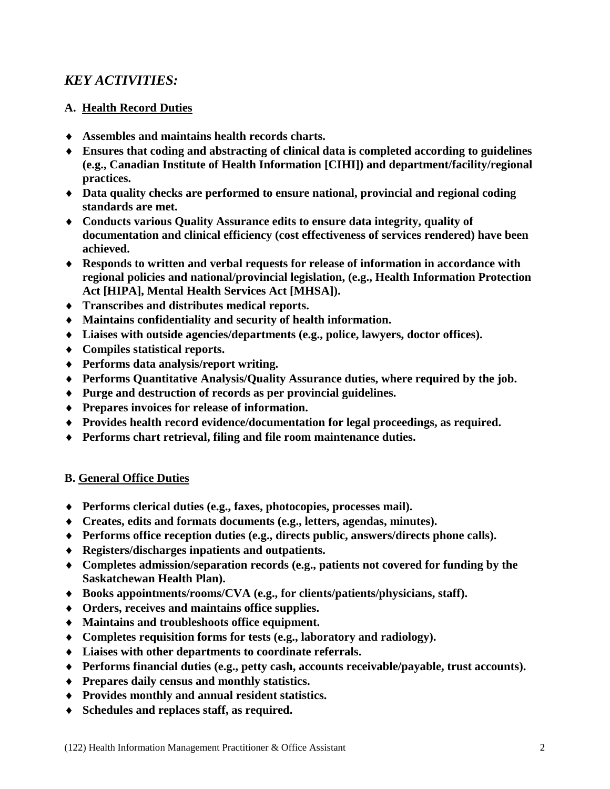## *KEY ACTIVITIES:*

#### **A. Health Record Duties**

- ♦ **Assembles and maintains health records charts.**
- ♦ **Ensures that coding and abstracting of clinical data is completed according to guidelines (e.g., Canadian Institute of Health Information [CIHI]) and department/facility/regional practices.**
- ♦ **Data quality checks are performed to ensure national, provincial and regional coding standards are met.**
- ♦ **Conducts various Quality Assurance edits to ensure data integrity, quality of documentation and clinical efficiency (cost effectiveness of services rendered) have been achieved.**
- ♦ **Responds to written and verbal requests for release of information in accordance with regional policies and national/provincial legislation, (e.g., Health Information Protection Act [HIPA], Mental Health Services Act [MHSA]).**
- ♦ **Transcribes and distributes medical reports.**
- ♦ **Maintains confidentiality and security of health information.**
- ♦ **Liaises with outside agencies/departments (e.g., police, lawyers, doctor offices).**
- ♦ **Compiles statistical reports.**
- ♦ **Performs data analysis/report writing.**
- ♦ **Performs Quantitative Analysis/Quality Assurance duties, where required by the job.**
- ♦ **Purge and destruction of records as per provincial guidelines.**
- ♦ **Prepares invoices for release of information.**
- ♦ **Provides health record evidence/documentation for legal proceedings, as required.**
- ♦ **Performs chart retrieval, filing and file room maintenance duties.**

#### **B. General Office Duties**

- ♦ **Performs clerical duties (e.g., faxes, photocopies, processes mail).**
- ♦ **Creates, edits and formats documents (e.g., letters, agendas, minutes).**
- ♦ **Performs office reception duties (e.g., directs public, answers/directs phone calls).**
- ♦ **Registers/discharges inpatients and outpatients.**
- ♦ **Completes admission/separation records (e.g., patients not covered for funding by the Saskatchewan Health Plan).**
- ♦ **Books appointments/rooms/CVA (e.g., for clients/patients/physicians, staff).**
- ♦ **Orders, receives and maintains office supplies.**
- ♦ **Maintains and troubleshoots office equipment.**
- ♦ **Completes requisition forms for tests (e.g., laboratory and radiology).**
- ♦ **Liaises with other departments to coordinate referrals.**
- ♦ **Performs financial duties (e.g., petty cash, accounts receivable/payable, trust accounts).**
- ♦ **Prepares daily census and monthly statistics.**
- ♦ **Provides monthly and annual resident statistics.**
- ♦ **Schedules and replaces staff, as required.**